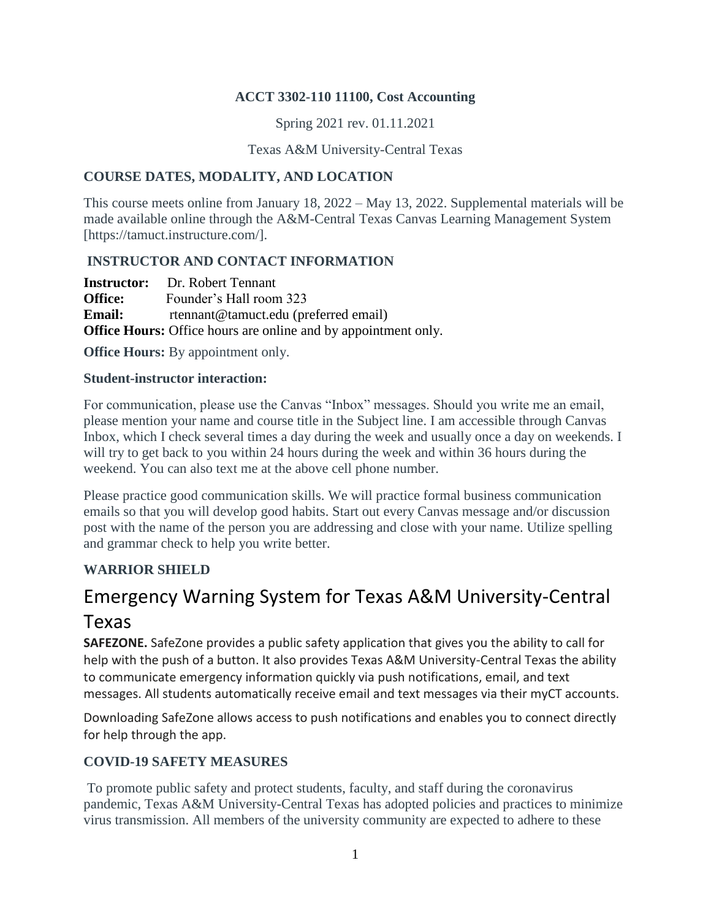## **ACCT 3302-110 11100, Cost Accounting**

Spring 2021 rev. 01.11.2021

Texas A&M University-Central Texas

## **COURSE DATES, MODALITY, AND LOCATION**

This course meets online from January 18, 2022 – May 13, 2022. Supplemental materials will be made available online through the A&M-Central Texas Canvas Learning Management System [https://tamuct.instructure.com/].

# **INSTRUCTOR AND CONTACT INFORMATION**

|                | <b>Instructor:</b> Dr. Robert Tennant                                 |
|----------------|-----------------------------------------------------------------------|
| <b>Office:</b> | Founder's Hall room 323                                               |
| <b>Email:</b>  | rtennant@tamuct.edu (preferred email)                                 |
|                | <b>Office Hours:</b> Office hours are online and by appointment only. |

**Office Hours:** By appointment only.

#### **Student-instructor interaction:**

For communication, please use the Canvas "Inbox" messages. Should you write me an email, please mention your name and course title in the Subject line. I am accessible through Canvas Inbox, which I check several times a day during the week and usually once a day on weekends. I will try to get back to you within 24 hours during the week and within 36 hours during the weekend. You can also text me at the above cell phone number.

Please practice good communication skills. We will practice formal business communication emails so that you will develop good habits. Start out every Canvas message and/or discussion post with the name of the person you are addressing and close with your name. Utilize spelling and grammar check to help you write better.

# **WARRIOR SHIELD**

# Emergency Warning System for Texas A&M University-Central

# Texas

**SAFEZONE.** SafeZone provides a public safety application that gives you the ability to call for help with the push of a button. It also provides Texas A&M University-Central Texas the ability to communicate emergency information quickly via push notifications, email, and text messages. All students automatically receive email and text messages via their myCT accounts.

Downloading SafeZone allows access to push notifications and enables you to connect directly for help through the app.

# **COVID-19 SAFETY MEASURES**

To promote public safety and protect students, faculty, and staff during the coronavirus pandemic, Texas A&M University-Central Texas has adopted policies and practices to minimize virus transmission. All members of the university community are expected to adhere to these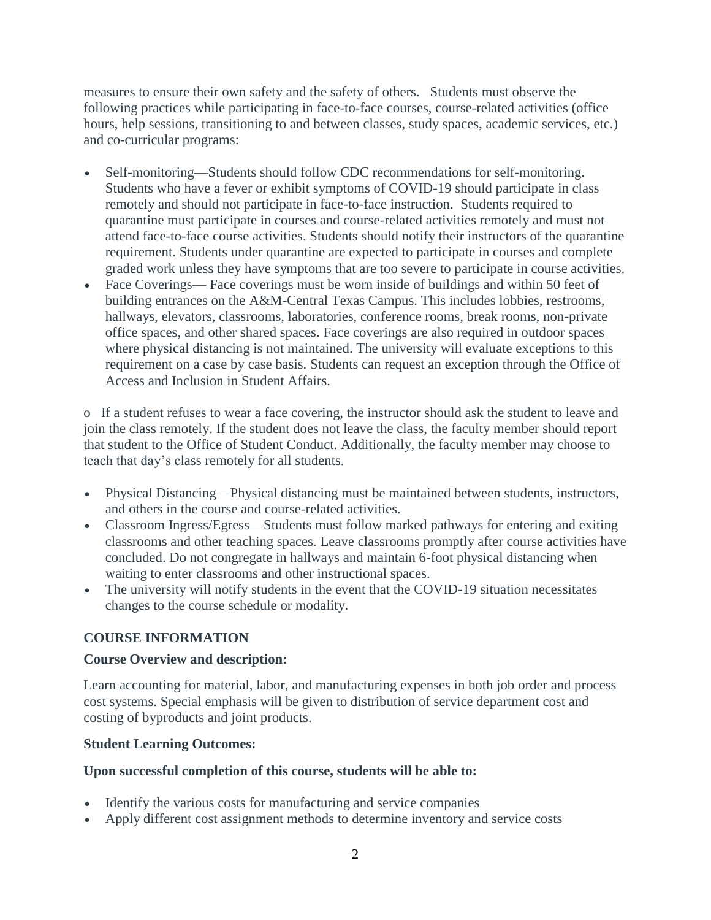measures to ensure their own safety and the safety of others. Students must observe the following practices while participating in face-to-face courses, course-related activities (office hours, help sessions, transitioning to and between classes, study spaces, academic services, etc.) and co-curricular programs:

- Self-monitoring—Students should follow CDC recommendations for self-monitoring. Students who have a fever or exhibit symptoms of COVID-19 should participate in class remotely and should not participate in face-to-face instruction.Students required to quarantine must participate in courses and course-related activities remotely and must not attend face-to-face course activities. Students should notify their instructors of the quarantine requirement. Students under quarantine are expected to participate in courses and complete graded work unless they have symptoms that are too severe to participate in course activities.
- Face Coverings— Face coverings must be worn inside of buildings and within 50 feet of building entrances on the A&M-Central Texas Campus. This includes lobbies, restrooms, hallways, elevators, classrooms, laboratories, conference rooms, break rooms, non-private office spaces, and other shared spaces. Face coverings are also required in outdoor spaces where physical distancing is not maintained. The university will evaluate exceptions to this requirement on a case by case basis. Students can request an exception through the Office of Access and Inclusion in Student Affairs.

o If a student refuses to wear a face covering, the instructor should ask the student to leave and join the class remotely. If the student does not leave the class, the faculty member should report that student to the Office of Student Conduct. Additionally, the faculty member may choose to teach that day's class remotely for all students.

- Physical Distancing—Physical distancing must be maintained between students, instructors, and others in the course and course-related activities.
- Classroom Ingress/Egress—Students must follow marked pathways for entering and exiting classrooms and other teaching spaces. Leave classrooms promptly after course activities have concluded. Do not congregate in hallways and maintain 6-foot physical distancing when waiting to enter classrooms and other instructional spaces.
- The university will notify students in the event that the COVID-19 situation necessitates changes to the course schedule or modality.

# **COURSE INFORMATION**

#### **Course Overview and description:**

Learn accounting for material, labor, and manufacturing expenses in both job order and process cost systems. Special emphasis will be given to distribution of service department cost and costing of byproducts and joint products.

#### **Student Learning Outcomes:**

#### **Upon successful completion of this course, students will be able to:**

- Identify the various costs for manufacturing and service companies
- Apply different cost assignment methods to determine inventory and service costs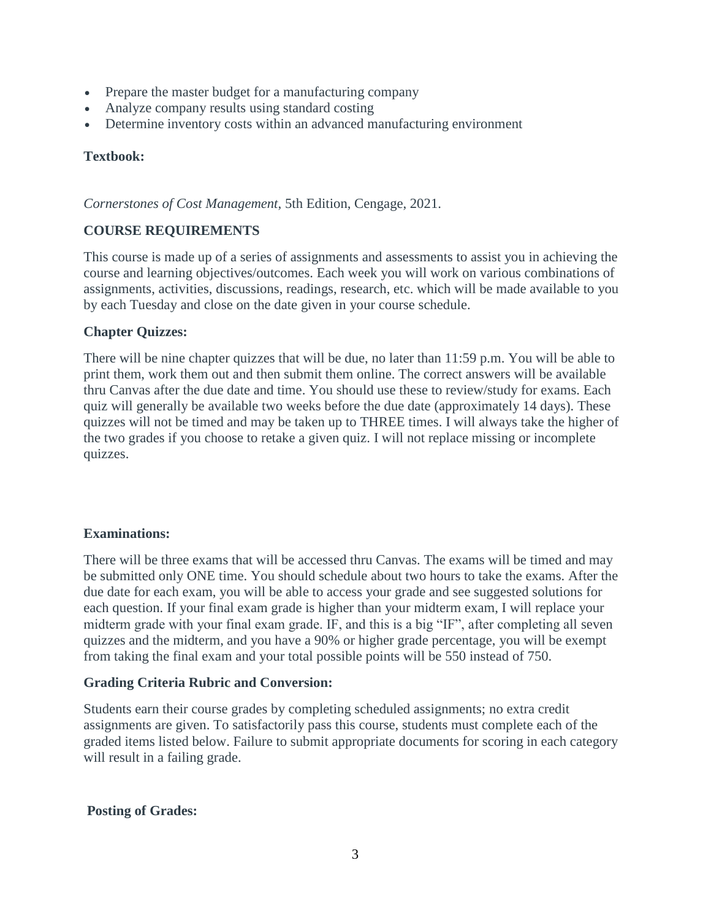- Prepare the master budget for a manufacturing company
- Analyze company results using standard costing
- Determine inventory costs within an advanced manufacturing environment

## **Textbook:**

*Cornerstones of Cost Management*, 5th Edition, Cengage, 2021.

# **COURSE REQUIREMENTS**

This course is made up of a series of assignments and assessments to assist you in achieving the course and learning objectives/outcomes. Each week you will work on various combinations of assignments, activities, discussions, readings, research, etc. which will be made available to you by each Tuesday and close on the date given in your course schedule.

## **Chapter Quizzes:**

There will be nine chapter quizzes that will be due, no later than 11:59 p.m. You will be able to print them, work them out and then submit them online. The correct answers will be available thru Canvas after the due date and time. You should use these to review/study for exams. Each quiz will generally be available two weeks before the due date (approximately 14 days). These quizzes will not be timed and may be taken up to THREE times. I will always take the higher of the two grades if you choose to retake a given quiz. I will not replace missing or incomplete quizzes.

#### **Examinations:**

There will be three exams that will be accessed thru Canvas. The exams will be timed and may be submitted only ONE time. You should schedule about two hours to take the exams. After the due date for each exam, you will be able to access your grade and see suggested solutions for each question. If your final exam grade is higher than your midterm exam, I will replace your midterm grade with your final exam grade. IF, and this is a big "IF", after completing all seven quizzes and the midterm, and you have a 90% or higher grade percentage, you will be exempt from taking the final exam and your total possible points will be 550 instead of 750.

#### **Grading Criteria Rubric and Conversion:**

Students earn their course grades by completing scheduled assignments; no extra credit assignments are given. To satisfactorily pass this course, students must complete each of the graded items listed below. Failure to submit appropriate documents for scoring in each category will result in a failing grade.

#### **Posting of Grades:**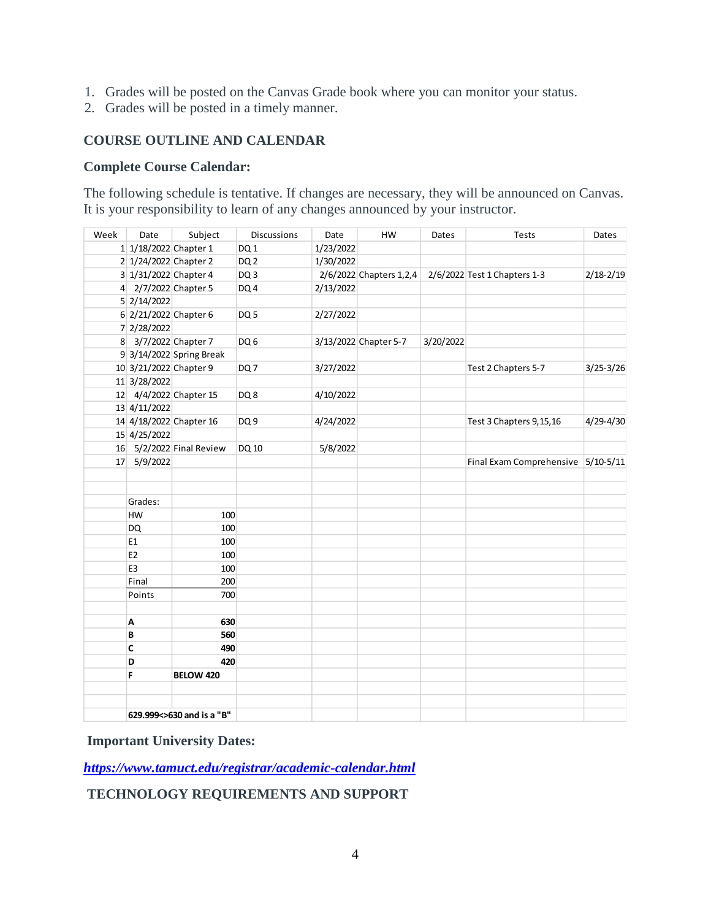- 1. Grades will be posted on the Canvas Grade book where you can monitor your status.
- 2. Grades will be posted in a timely manner.

## **COURSE OUTLINE AND CALENDAR**

#### **Complete Course Calendar:**

The following schedule is tentative. If changes are necessary, they will be announced on Canvas. It is your responsibility to learn of any changes announced by your instructor.

| Week | Date                      | Subject                  | <b>Discussions</b> | Date      | HW                        | Dates     | Tests                              | Dates         |
|------|---------------------------|--------------------------|--------------------|-----------|---------------------------|-----------|------------------------------------|---------------|
|      | 1 1/18/2022 Chapter 1     |                          | DQ1                | 1/23/2022 |                           |           |                                    |               |
|      | 2 1/24/2022 Chapter 2     |                          | DQ <sub>2</sub>    | 1/30/2022 |                           |           |                                    |               |
|      | 3 1/31/2022 Chapter 4     |                          | DQ <sub>3</sub>    |           | $2/6/2022$ Chapters 1,2,4 |           | 2/6/2022 Test 1 Chapters 1-3       | $2/18 - 2/19$ |
|      | 4 2/7/2022 Chapter 5      |                          | DQ4                | 2/13/2022 |                           |           |                                    |               |
|      | 5 2/14/2022               |                          |                    |           |                           |           |                                    |               |
|      | 6 2/21/2022 Chapter 6     |                          | DQ <sub>5</sub>    | 2/27/2022 |                           |           |                                    |               |
|      | 7 2/28/2022               |                          |                    |           |                           |           |                                    |               |
|      | 8 3/7/2022 Chapter 7      |                          | DQ6                |           | 3/13/2022 Chapter 5-7     | 3/20/2022 |                                    |               |
|      |                           | 9 3/14/2022 Spring Break |                    |           |                           |           |                                    |               |
|      | 10 3/21/2022 Chapter 9    |                          | DQ7                | 3/27/2022 |                           |           | Test 2 Chapters 5-7                | $3/25 - 3/26$ |
|      | 11 3/28/2022              |                          |                    |           |                           |           |                                    |               |
|      |                           | 12 4/4/2022 Chapter 15   | DQ8                | 4/10/2022 |                           |           |                                    |               |
|      | 13 4/11/2022              |                          |                    |           |                           |           |                                    |               |
|      |                           | 14 4/18/2022 Chapter 16  | DQ <sub>9</sub>    | 4/24/2022 |                           |           | Test 3 Chapters 9, 15, 16          | 4/29-4/30     |
|      | 15 4/25/2022              |                          |                    |           |                           |           |                                    |               |
|      |                           | 16 5/2/2022 Final Review | DQ 10              | 5/8/2022  |                           |           |                                    |               |
|      | 17 5/9/2022               |                          |                    |           |                           |           | Final Exam Comprehensive 5/10-5/11 |               |
|      |                           |                          |                    |           |                           |           |                                    |               |
|      |                           |                          |                    |           |                           |           |                                    |               |
|      | Grades:                   |                          |                    |           |                           |           |                                    |               |
|      | <b>HW</b>                 | 100                      |                    |           |                           |           |                                    |               |
|      | <b>DQ</b>                 | 100                      |                    |           |                           |           |                                    |               |
|      | E1                        | 100                      |                    |           |                           |           |                                    |               |
|      | E <sub>2</sub>            | 100                      |                    |           |                           |           |                                    |               |
|      | E <sub>3</sub>            | 100                      |                    |           |                           |           |                                    |               |
|      | Final                     | 200                      |                    |           |                           |           |                                    |               |
|      | Points                    | 700                      |                    |           |                           |           |                                    |               |
|      | Α                         | 630                      |                    |           |                           |           |                                    |               |
|      | B                         | 560                      |                    |           |                           |           |                                    |               |
|      | C                         | 490                      |                    |           |                           |           |                                    |               |
|      | D                         | 420                      |                    |           |                           |           |                                    |               |
|      | F                         | BELOW 420                |                    |           |                           |           |                                    |               |
|      |                           |                          |                    |           |                           |           |                                    |               |
|      |                           |                          |                    |           |                           |           |                                    |               |
|      | 629.999<>630 and is a "B" |                          |                    |           |                           |           |                                    |               |

#### **Important University Dates:**

*<https://www.tamuct.edu/registrar/academic-calendar.html>*

# **TECHNOLOGY REQUIREMENTS AND SUPPORT**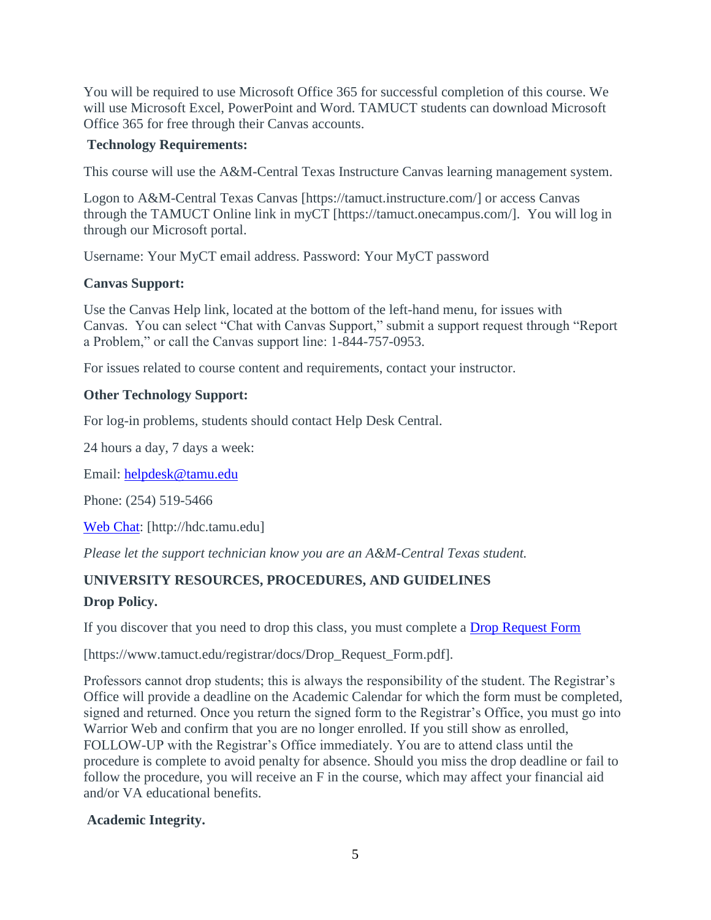You will be required to use Microsoft Office 365 for successful completion of this course. We will use Microsoft Excel, PowerPoint and Word. TAMUCT students can download Microsoft Office 365 for free through their Canvas accounts.

## **Technology Requirements:**

This course will use the A&M-Central Texas Instructure Canvas learning management system.

Logon to A&M-Central Texas Canvas [https://tamuct.instructure.com/] or access Canvas through the TAMUCT Online link in myCT [https://tamuct.onecampus.com/]. You will log in through our Microsoft portal.

Username: Your MyCT email address. Password: Your MyCT password

# **Canvas Support:**

Use the Canvas Help link, located at the bottom of the left-hand menu, for issues with Canvas. You can select "Chat with Canvas Support," submit a support request through "Report a Problem," or call the Canvas support line: 1-844-757-0953.

For issues related to course content and requirements, contact your instructor.

## **Other Technology Support:**

For log-in problems, students should contact Help Desk Central.

24 hours a day, 7 days a week:

Email: [helpdesk@tamu.edu](mailto:helpdesk@tamu.edu)

Phone: (254) 519-5466

[Web Chat:](http://hdc.tamu.edu/) [http://hdc.tamu.edu]

*Please let the support technician know you are an A&M-Central Texas student.*

# **UNIVERSITY RESOURCES, PROCEDURES, AND GUIDELINES**

# **Drop Policy.**

If you discover that you need to drop this class, you must complete a [Drop Request Form](https://www.tamuct.edu/registrar/docs/Drop_Request_Form.pdf)

[https://www.tamuct.edu/registrar/docs/Drop\_Request\_Form.pdf].

Professors cannot drop students; this is always the responsibility of the student. The Registrar's Office will provide a deadline on the Academic Calendar for which the form must be completed, signed and returned. Once you return the signed form to the Registrar's Office, you must go into Warrior Web and confirm that you are no longer enrolled. If you still show as enrolled, FOLLOW-UP with the Registrar's Office immediately. You are to attend class until the procedure is complete to avoid penalty for absence. Should you miss the drop deadline or fail to follow the procedure, you will receive an F in the course, which may affect your financial aid and/or VA educational benefits.

# **Academic Integrity.**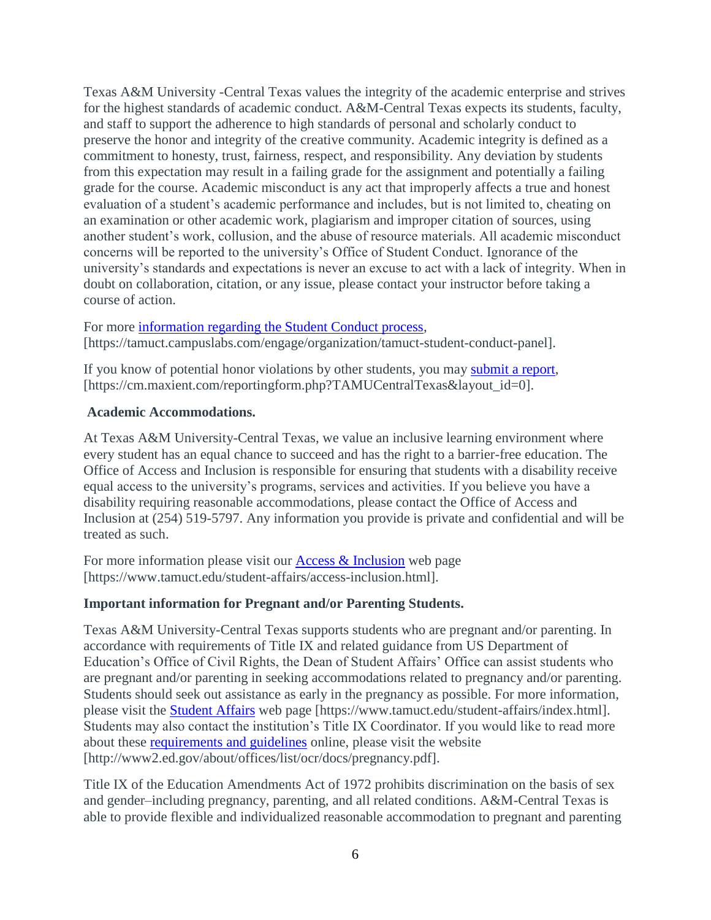Texas A&M University -Central Texas values the integrity of the academic enterprise and strives for the highest standards of academic conduct. A&M-Central Texas expects its students, faculty, and staff to support the adherence to high standards of personal and scholarly conduct to preserve the honor and integrity of the creative community. Academic integrity is defined as a commitment to honesty, trust, fairness, respect, and responsibility. Any deviation by students from this expectation may result in a failing grade for the assignment and potentially a failing grade for the course. Academic misconduct is any act that improperly affects a true and honest evaluation of a student's academic performance and includes, but is not limited to, cheating on an examination or other academic work, plagiarism and improper citation of sources, using another student's work, collusion, and the abuse of resource materials. All academic misconduct concerns will be reported to the university's Office of Student Conduct. Ignorance of the university's standards and expectations is never an excuse to act with a lack of integrity. When in doubt on collaboration, citation, or any issue, please contact your instructor before taking a course of action.

For more [information regarding the Student Conduct process,](https://tamuct.campuslabs.com/engage/organization/tamuct-student-conduct-pane) [https://tamuct.campuslabs.com/engage/organization/tamuct-student-conduct-panel].

If you know of potential honor violations by other students, you may [submit a report,](https://cm.maxient.com/reportingform.php?TAMUCentralTexas&layout_id=0) [https://cm.maxient.com/reportingform.php?TAMUCentralTexas&layout\_id=0].

# **Academic Accommodations.**

At Texas A&M University-Central Texas, we value an inclusive learning environment where every student has an equal chance to succeed and has the right to a barrier-free education. The Office of Access and Inclusion is responsible for ensuring that students with a disability receive equal access to the university's programs, services and activities. If you believe you have a disability requiring reasonable accommodations, please contact the Office of Access and Inclusion at (254) 519-5797. Any information you provide is private and confidential and will be treated as such.

For more information please visit our [Access & Inclusion](https://www.tamuct.edu/student-affairs/access-inclusion.html) web page [https://www.tamuct.edu/student-affairs/access-inclusion.html].

# **Important information for Pregnant and/or Parenting Students.**

Texas A&M University-Central Texas supports students who are pregnant and/or parenting. In accordance with requirements of Title IX and related guidance from US Department of Education's Office of Civil Rights, the Dean of Student Affairs' Office can assist students who are pregnant and/or parenting in seeking accommodations related to pregnancy and/or parenting. Students should seek out assistance as early in the pregnancy as possible. For more information, please visit the [Student Affairs](https://www.tamuct.edu/student-affairs/index.html) web page [https://www.tamuct.edu/student-affairs/index.html]. Students may also contact the institution's Title IX Coordinator. If you would like to read more about these [requirements and guidelines](http://www2.ed.gov/about/offices/list/ocr/docs/pregnancy.pdf) online, please visit the website [http://www2.ed.gov/about/offices/list/ocr/docs/pregnancy.pdf].

Title IX of the Education Amendments Act of 1972 prohibits discrimination on the basis of sex and gender–including pregnancy, parenting, and all related conditions. A&M-Central Texas is able to provide flexible and individualized reasonable accommodation to pregnant and parenting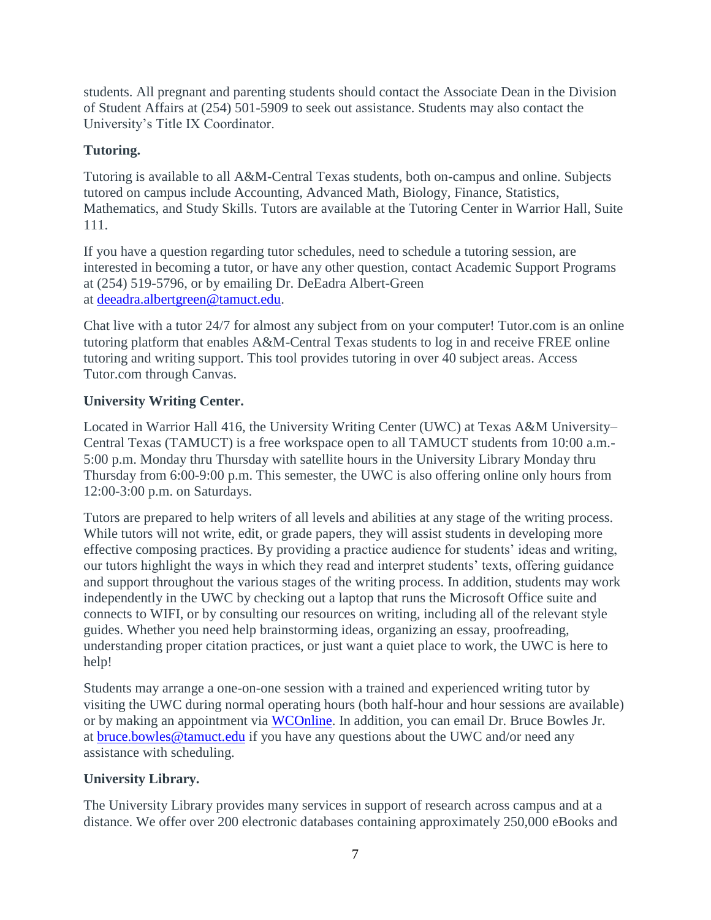students. All pregnant and parenting students should contact the Associate Dean in the Division of Student Affairs at (254) 501-5909 to seek out assistance. Students may also contact the University's Title IX Coordinator.

# **Tutoring.**

Tutoring is available to all A&M-Central Texas students, both on-campus and online. Subjects tutored on campus include Accounting, Advanced Math, Biology, Finance, Statistics, Mathematics, and Study Skills. Tutors are available at the Tutoring Center in Warrior Hall, Suite 111.

If you have a question regarding tutor schedules, need to schedule a tutoring session, are interested in becoming a tutor, or have any other question, contact Academic Support Programs at (254) 519-5796, or by emailing Dr. DeEadra Albert-Green at [deeadra.albertgreen@tamuct.edu.](mailto:deeadra.albertgreen@tamuct.edu)

Chat live with a tutor 24/7 for almost any subject from on your computer! Tutor.com is an online tutoring platform that enables A&M-Central Texas students to log in and receive FREE online tutoring and writing support. This tool provides tutoring in over 40 subject areas. Access Tutor.com through Canvas.

# **University Writing Center.**

Located in Warrior Hall 416, the University Writing Center (UWC) at Texas A&M University– Central Texas (TAMUCT) is a free workspace open to all TAMUCT students from 10:00 a.m.- 5:00 p.m. Monday thru Thursday with satellite hours in the University Library Monday thru Thursday from 6:00-9:00 p.m. This semester, the UWC is also offering online only hours from 12:00-3:00 p.m. on Saturdays.

Tutors are prepared to help writers of all levels and abilities at any stage of the writing process. While tutors will not write, edit, or grade papers, they will assist students in developing more effective composing practices. By providing a practice audience for students' ideas and writing, our tutors highlight the ways in which they read and interpret students' texts, offering guidance and support throughout the various stages of the writing process. In addition, students may work independently in the UWC by checking out a laptop that runs the Microsoft Office suite and connects to WIFI, or by consulting our resources on writing, including all of the relevant style guides. Whether you need help brainstorming ideas, organizing an essay, proofreading, understanding proper citation practices, or just want a quiet place to work, the UWC is here to help!

Students may arrange a one-on-one session with a trained and experienced writing tutor by visiting the UWC during normal operating hours (both half-hour and hour sessions are available) or by making an appointment via [WCOnline.](https://tamuct.mywconline.com/) In addition, you can email Dr. Bruce Bowles Jr. at [bruce.bowles@tamuct.edu](mailto:bruce.bowles@tamuct.edu) if you have any questions about the UWC and/or need any assistance with scheduling.

# **University Library.**

The University Library provides many services in support of research across campus and at a distance. We offer over 200 electronic databases containing approximately 250,000 eBooks and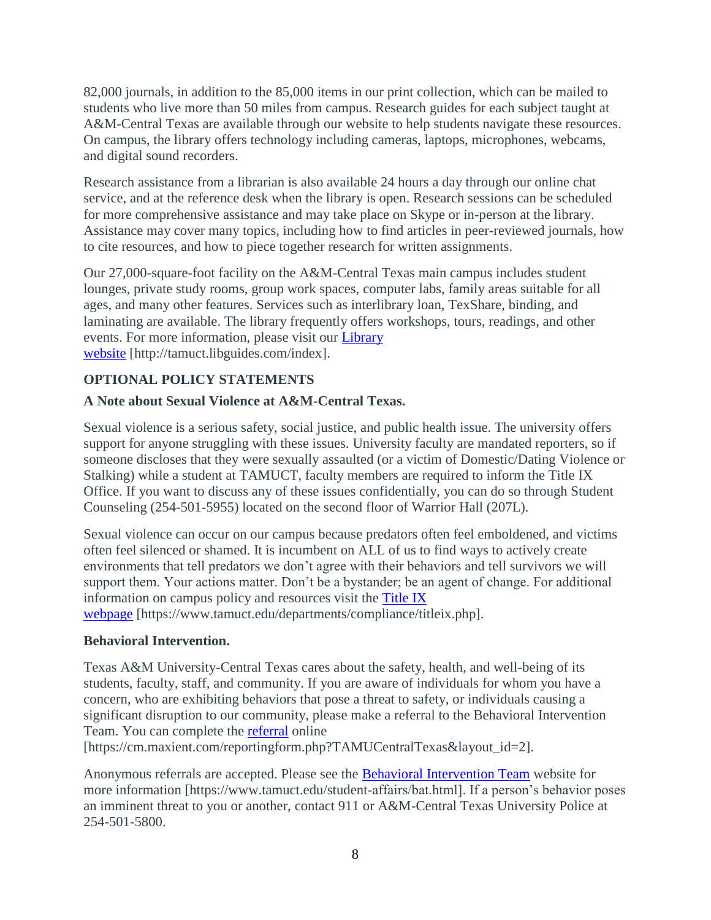82,000 journals, in addition to the 85,000 items in our print collection, which can be mailed to students who live more than 50 miles from campus. Research guides for each subject taught at A&M-Central Texas are available through our website to help students navigate these resources. On campus, the library offers technology including cameras, laptops, microphones, webcams, and digital sound recorders.

Research assistance from a librarian is also available 24 hours a day through our online chat service, and at the reference desk when the library is open. Research sessions can be scheduled for more comprehensive assistance and may take place on Skype or in-person at the library. Assistance may cover many topics, including how to find articles in peer-reviewed journals, how to cite resources, and how to piece together research for written assignments.

Our 27,000-square-foot facility on the A&M-Central Texas main campus includes student lounges, private study rooms, group work spaces, computer labs, family areas suitable for all ages, and many other features. Services such as interlibrary loan, TexShare, binding, and laminating are available. The library frequently offers workshops, tours, readings, and other events. For more information, please visit our [Library](https://tamuct.libguides.com/index)  [website](https://tamuct.libguides.com/index) [http://tamuct.libguides.com/index].

# **OPTIONAL POLICY STATEMENTS**

# **A Note about Sexual Violence at A&M-Central Texas.**

Sexual violence is a serious safety, social justice, and public health issue. The university offers support for anyone struggling with these issues. University faculty are mandated reporters, so if someone discloses that they were sexually assaulted (or a victim of Domestic/Dating Violence or Stalking) while a student at TAMUCT, faculty members are required to inform the Title IX Office. If you want to discuss any of these issues confidentially, you can do so through Student Counseling (254-501-5955) located on the second floor of Warrior Hall (207L).

Sexual violence can occur on our campus because predators often feel emboldened, and victims often feel silenced or shamed. It is incumbent on ALL of us to find ways to actively create environments that tell predators we don't agree with their behaviors and tell survivors we will support them. Your actions matter. Don't be a bystander; be an agent of change. For additional information on campus policy and resources visit the [Title IX](https://www.tamuct.edu/departments/compliance/titleix.php)  [webpage](https://www.tamuct.edu/departments/compliance/titleix.php) [https://www.tamuct.edu/departments/compliance/titleix.php].

#### **Behavioral Intervention.**

Texas A&M University-Central Texas cares about the safety, health, and well-being of its students, faculty, staff, and community. If you are aware of individuals for whom you have a concern, who are exhibiting behaviors that pose a threat to safety, or individuals causing a significant disruption to our community, please make a referral to the Behavioral Intervention Team. You can complete the [referral](https://cm.maxient.com/reportingform.php?TAMUCentralTexas&layout_id=2) online

[https://cm.maxient.com/reportingform.php?TAMUCentralTexas&layout\_id=2].

Anonymous referrals are accepted. Please see the [Behavioral Intervention Team](https://www.tamuct.edu/student-affairs/bat.html) website for more information [https://www.tamuct.edu/student-affairs/bat.html]. If a person's behavior poses an imminent threat to you or another, contact 911 or A&M-Central Texas University Police at 254-501-5800.